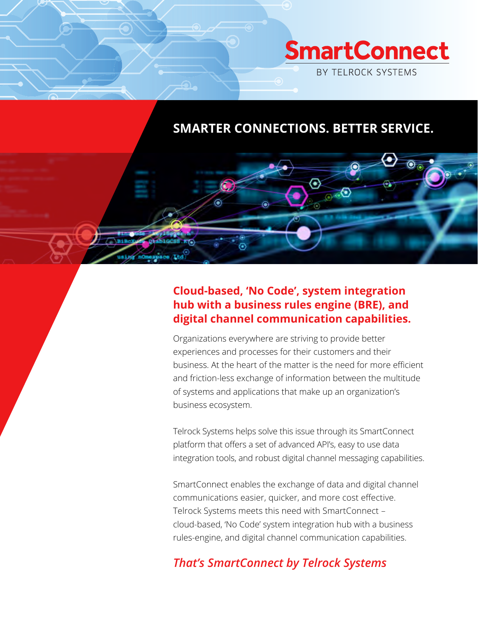

# **SMARTER CONNECTIONS. BETTER SERVICE.**

 $\odot$   $\odot$ 

### **Cloud-based, 'No Code', system integration hub with a business rules engine (BRE), and digital channel communication capabilities.**

Organizations everywhere are striving to provide better experiences and processes for their customers and their business. At the heart of the matter is the need for more efficient and friction-less exchange of information between the multitude of systems and applications that make up an organization's business ecosystem.

Telrock Systems helps solve this issue through its SmartConnect platform that offers a set of advanced API's, easy to use data integration tools, and robust digital channel messaging capabilities.

SmartConnect enables the exchange of data and digital channel communications easier, quicker, and more cost effective. Telrock Systems meets this need with SmartConnect – cloud-based, 'No Code' system integration hub with a business rules-engine, and digital channel communication capabilities.

## *That's SmartConnect by Telrock Systems*